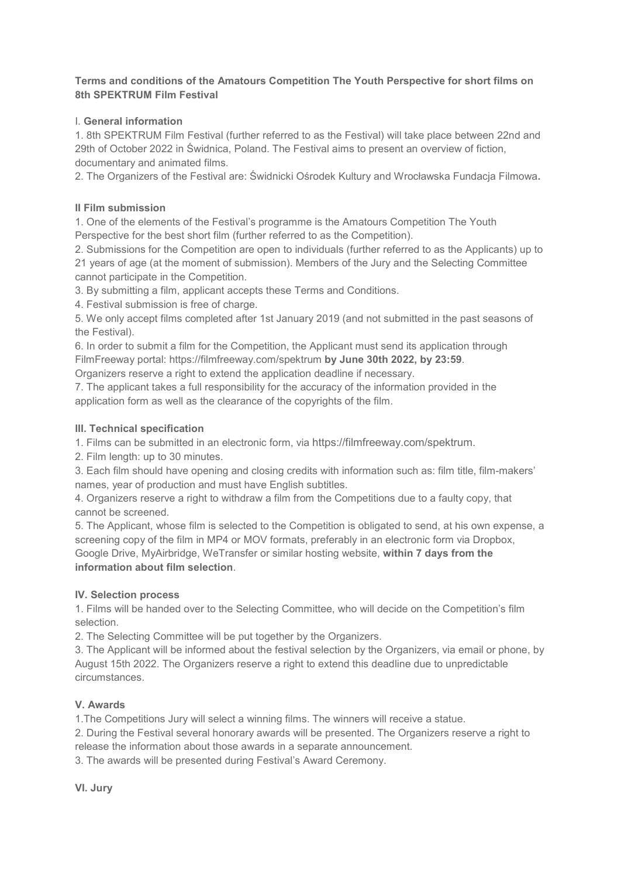### **Terms and conditions of the Amatours Competition The Youth Perspective for short films on 8th SPEKTRUM Film Festival**

## I. **General information**

1. 8th SPEKTRUM Film Festival (further referred to as the Festival) will take place between 22nd and 29th of October 2022 in Świdnica, Poland. The Festival aims to present an overview of fiction, documentary and animated films.

2. The Organizers of the Festival are: Świdnicki Ośrodek Kultury and Wrocławska Fundacja Filmowa**.** 

### **II Film submission**

1. One of the elements of the Festival's programme is the Amatours Competition The Youth Perspective for the best short film (further referred to as the Competition).

2. Submissions for the Competition are open to individuals (further referred to as the Applicants) up to 21 years of age (at the moment of submission). Members of the Jury and the Selecting Committee cannot participate in the Competition.

3. By submitting a film, applicant accepts these Terms and Conditions.

4. Festival submission is free of charge.

5. We only accept films completed after 1st January 2019 (and not submitted in the past seasons of the Festival).

6. In order to submit a film for the Competition, the Applicant must send its application through FilmFreeway portal: https://filmfreeway.com/spektrum **by June 30th 2022, by 23:59**.

Organizers reserve a right to extend the application deadline if necessary.

7. The applicant takes a full responsibility for the accuracy of the information provided in the application form as well as the clearance of the copyrights of the film.

# **III. Technical specification**

1. Films can be submitted in an electronic form, via https://filmfreeway.com/spektrum.

2. Film length: up to 30 minutes.

3. Each film should have opening and closing credits with information such as: film title, film-makers' names, year of production and must have English subtitles.

4. Organizers reserve a right to withdraw a film from the Competitions due to a faulty copy, that cannot be screened.

5. The Applicant, whose film is selected to the Competition is obligated to send, at his own expense, a screening copy of the film in MP4 or MOV formats, preferably in an electronic form via Dropbox, Google Drive, MyAirbridge, WeTransfer or similar hosting website, **within 7 days from the information about film selection**.

### **IV. Selection process**

1. Films will be handed over to the Selecting Committee, who will decide on the Competition's film selection.

2. The Selecting Committee will be put together by the Organizers.

3. The Applicant will be informed about the festival selection by the Organizers, via email or phone, by August 15th 2022. The Organizers reserve a right to extend this deadline due to unpredictable circumstances.

### **V. Awards**

1.The Competitions Jury will select a winning films. The winners will receive a statue.

2. During the Festival several honorary awards will be presented. The Organizers reserve a right to release the information about those awards in a separate announcement.

3. The awards will be presented during Festival's Award Ceremony.

**VI. Jury**